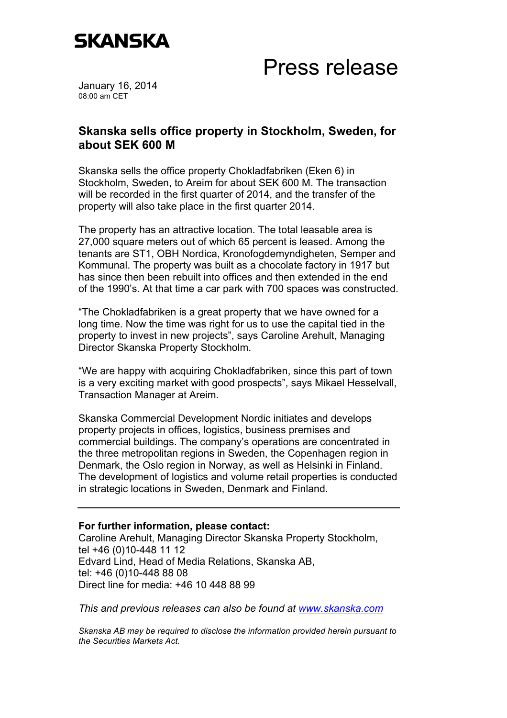

## Press release

January 16, 2014 08:00 am CET

## **Skanska sells office property in Stockholm, Sweden, for about SEK 600 M**

Skanska sells the office property Chokladfabriken (Eken 6) in Stockholm, Sweden, to Areim for about SEK 600 M. The transaction will be recorded in the first quarter of 2014, and the transfer of the property will also take place in the first quarter 2014.

The property has an attractive location. The total leasable area is 27,000 square meters out of which 65 percent is leased. Among the tenants are ST1, OBH Nordica, Kronofogdemyndigheten, Semper and Kommunal. The property was built as a chocolate factory in 1917 but has since then been rebuilt into offices and then extended in the end of the 1990's. At that time a car park with 700 spaces was constructed.

"The Chokladfabriken is a great property that we have owned for a long time. Now the time was right for us to use the capital tied in the property to invest in new projects", says Caroline Arehult, Managing Director Skanska Property Stockholm.

"We are happy with acquiring Chokladfabriken, since this part of town is a very exciting market with good prospects", says Mikael Hesselvall, Transaction Manager at Areim.

Skanska Commercial Development Nordic initiates and develops property projects in offices, logistics, business premises and commercial buildings. The company's operations are concentrated in the three metropolitan regions in Sweden, the Copenhagen region in Denmark, the Oslo region in Norway, as well as Helsinki in Finland. The development of logistics and volume retail properties is conducted in strategic locations in Sweden, Denmark and Finland.

## **For further information, please contact:**

Caroline Arehult, Managing Director Skanska Property Stockholm, tel +46 (0)10-448 11 12 Edvard Lind, Head of Media Relations, Skanska AB, tel: +46 (0)10-448 88 08 Direct line for media: +46 10 448 88 99

*This and previous releases can also be found at www.skanska.com*

*Skanska AB may be required to disclose the information provided herein pursuant to the Securities Markets Act.*